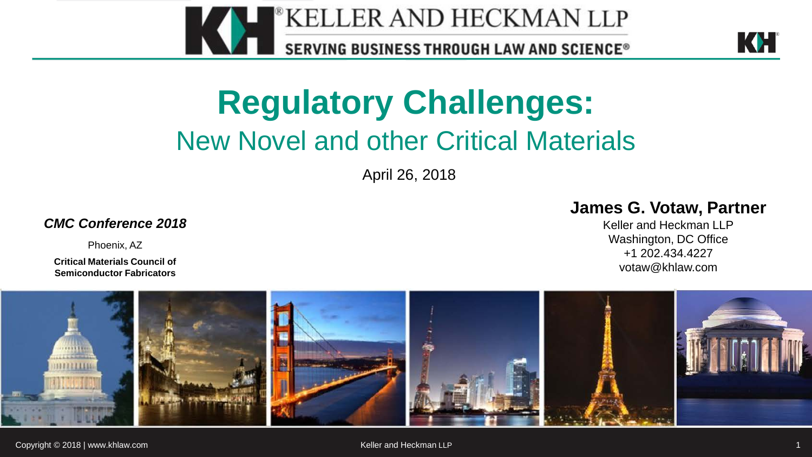



### **Regulatory Challenges:** New Novel and other Critical Materials

April 26, 2018

*CMC Conference 2018*

Phoenix, AZ

**Critical Materials Council of Semiconductor Fabricators**

#### **James G. Votaw, Partner**

Keller and Heckman LLP Washington, DC Office +1 202.434.4227 votaw@khlaw.com

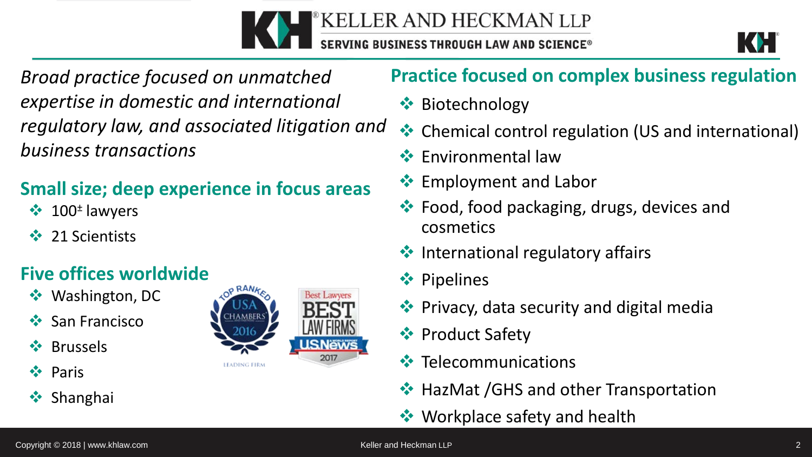



*Broad practice focused on unmatched expertise in domestic and international regulatory law, and associated litigation and business transactions* 

#### **Small size; deep experience in focus areas**

- $\cdot \cdot \cdot$  100<sup>±</sup> lawyers
- 21 Scientists

#### **Five offices worldwide**

- **❖** Washington, DC
- ❖ San Francisco
- **☆** Brussels
- **❖** Paris
- **❖** Shanghai

#### o RANA **Best Lawyers** HAMBERS **LEADING FIRM**

#### **Practice focused on complex business regulation**

- **❖** Biotechnology
- **EX** Chemical control regulation (US and international)
- $\cdot$  Fnvironmental law
- **Employment and Labor**
- **External**, food packaging, drugs, devices and cosmetics
- $\cdot$  International regulatory affairs
- **❖ Pipelines**
- **◆ Privacy, data security and digital media**
- **❖** Product Safety
- $\cdot$  Telecommunications
- **❖ HazMat /GHS and other Transportation**
- **◆ Workplace safety and health**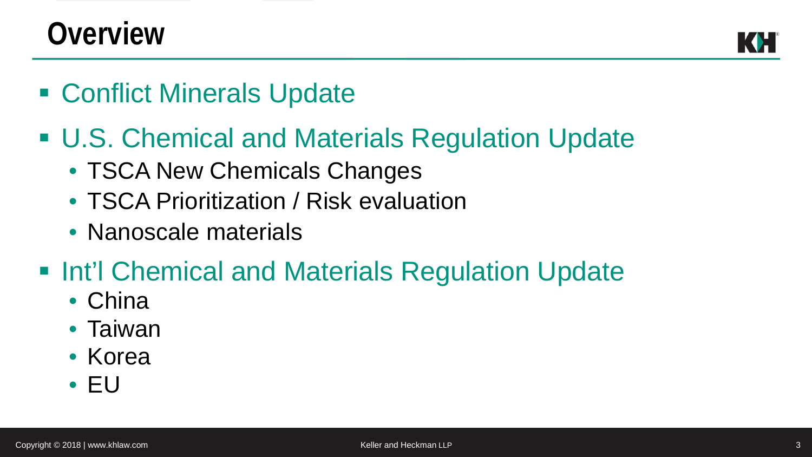### **Overview**

- Conflict Minerals Update
- U.S. Chemical and Materials Regulation Update
	- TSCA New Chemicals Changes
	- TSCA Prioritization / Risk evaluation
	- Nanoscale materials
- **Int'l Chemical and Materials Regulation Update** 
	- China
	- Taiwan
	- Korea
	- EU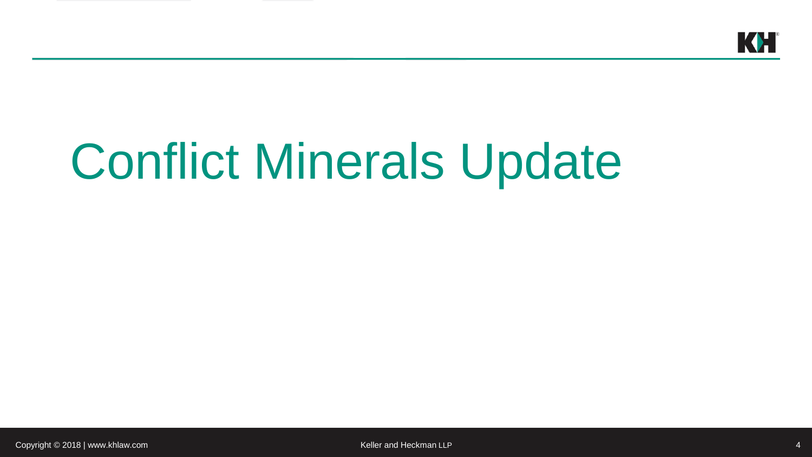

# Conflict Minerals Update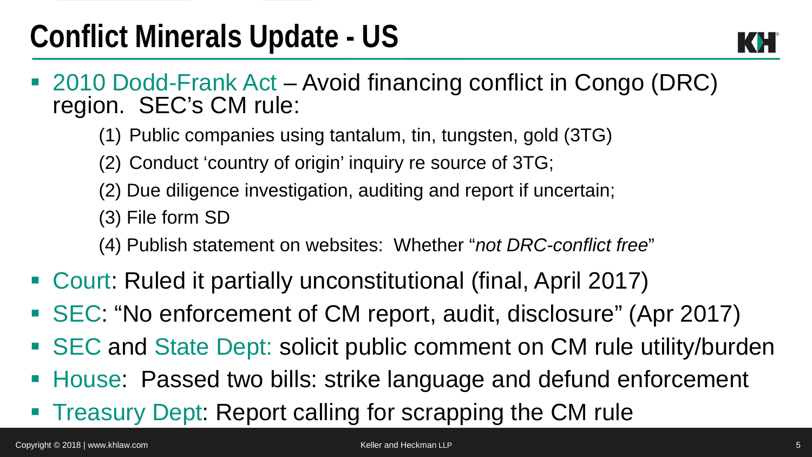- 2010 Dodd-Frank Act Avoid financing conflict in Congo (DRC) region. SEC's CM rule:
	- (1) Public companies using tantalum, tin, tungsten, gold (3TG)
	- (2) Conduct 'country of origin' inquiry re source of 3TG;
	- (2) Due diligence investigation, auditing and report if uncertain;
	- (3) File form SD
	- (4) Publish statement on websites: Whether "*not DRC-conflict free*"
- Court: Ruled it partially unconstitutional (final, April 2017)
- SEC: "No enforcement of CM report, audit, disclosure" (Apr 2017)
- SEC and State Dept: solicit public comment on CM rule utility/burden
- House: Passed two bills: strike language and defund enforcement
- **Treasury Dept: Report calling for scrapping the CM rule**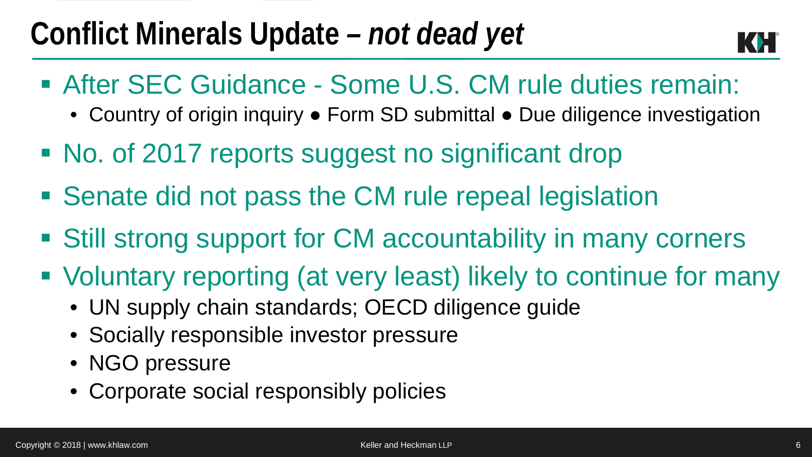### **Conflict Minerals Update** *– not dead yet*



- After SEC Guidance Some U.S. CM rule duties remain:
	- Country of origin inquiry Form SD submittal Due diligence investigation
- No. of 2017 reports suggest no significant drop
- Senate did not pass the CM rule repeal legislation
- Still strong support for CM accountability in many corners
- Voluntary reporting (at very least) likely to continue for many
	- UN supply chain standards; OECD diligence guide
	- Socially responsible investor pressure
	- NGO pressure
	- Corporate social responsibly policies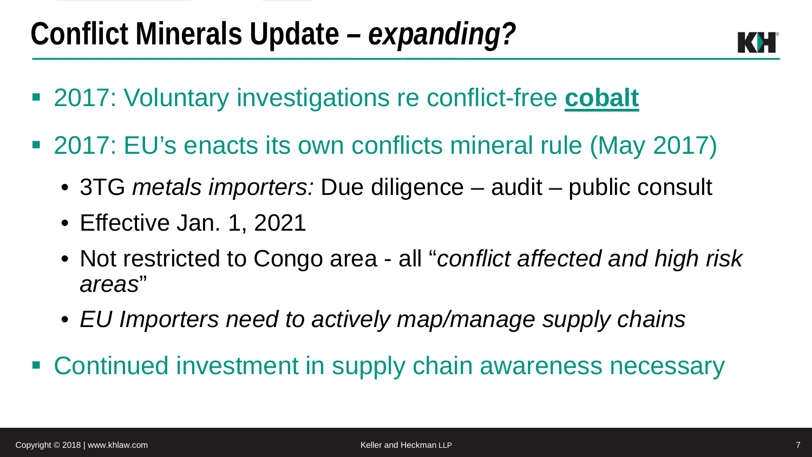

- 2017: Voluntary investigations re conflict-free **cobalt**
- 2017: EU's enacts its own conflicts mineral rule (May 2017)
	- 3TG *metals importers:* Due diligence audit public consult
	- Effective Jan. 1, 2021
	- Not restricted to Congo area all "*conflict affected and high risk areas*"
	- *EU Importers need to actively map/manage supply chains*
- Continued investment in supply chain awareness necessary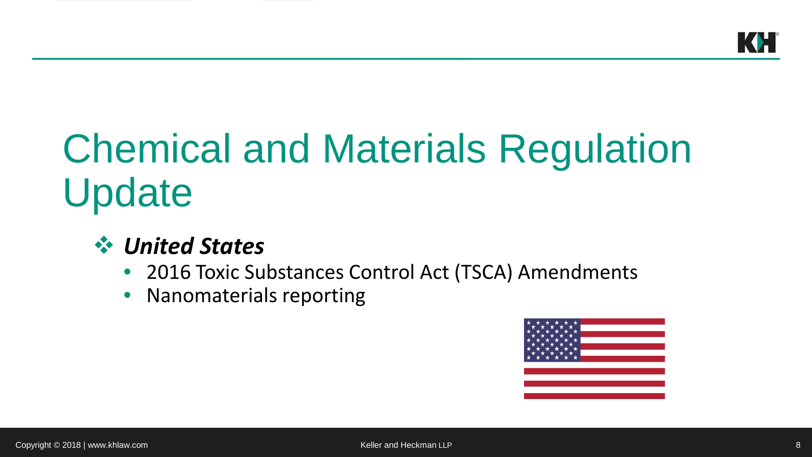## Chemical and Materials Regulation Update

#### *United States*

- 2016 Toxic Substances Control Act (TSCA) Amendments
- Nanomaterials reporting

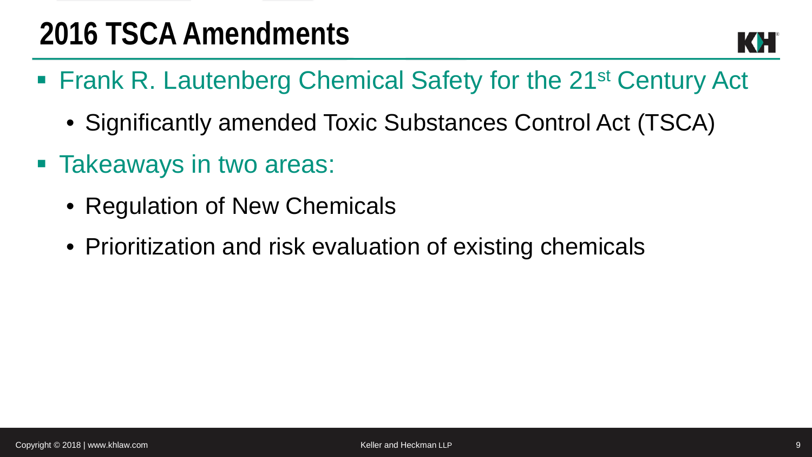

- Frank R. Lautenberg Chemical Safety for the 21<sup>st</sup> Century Act
	- Significantly amended Toxic Substances Control Act (TSCA)
- Takeaways in two areas:
	- Regulation of New Chemicals
	- Prioritization and risk evaluation of existing chemicals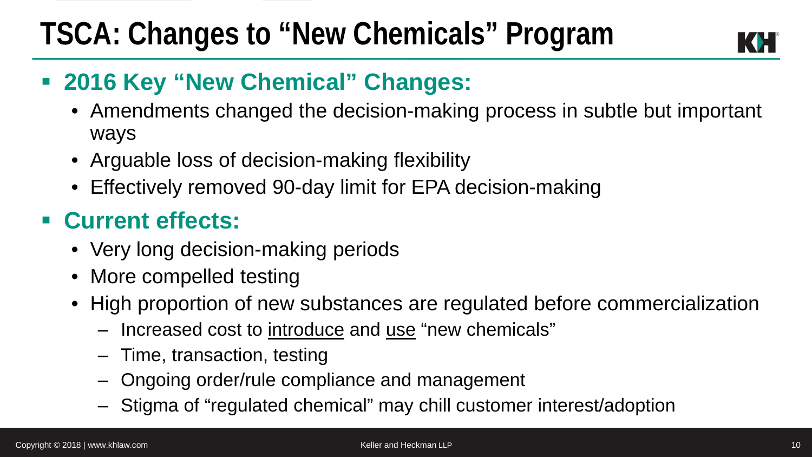### **TSCA: Changes to "New Chemicals" Program**



#### **2016 Key "New Chemical" Changes:**

- Amendments changed the decision-making process in subtle but important ways
- Arguable loss of decision-making flexibility
- Effectively removed 90-day limit for EPA decision-making

#### **Current effects:**

- Very long decision-making periods
- More compelled testing
- High proportion of new substances are regulated before commercialization
	- Increased cost to introduce and use "new chemicals"
	- ‒ Time, transaction, testing
	- ‒ Ongoing order/rule compliance and management
	- ‒ Stigma of "regulated chemical" may chill customer interest/adoption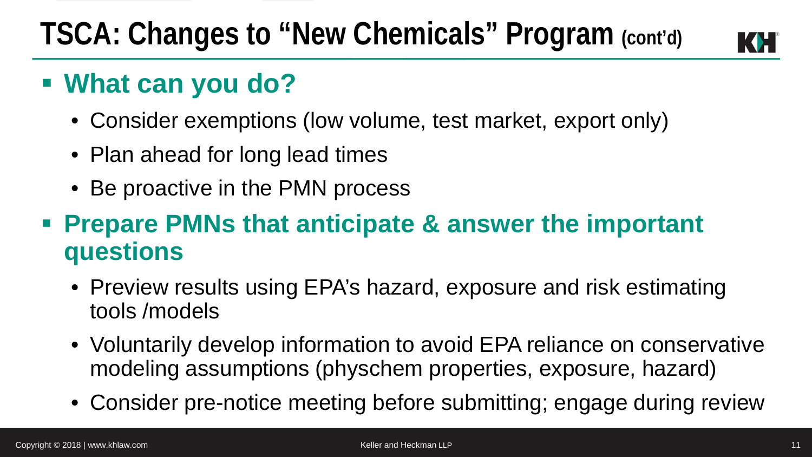### **TSCA: Changes to "New Chemicals" Program (cont'd)**



### **What can you do?**

- Consider exemptions (low volume, test market, export only)
- Plan ahead for long lead times
- Be proactive in the PMN process

#### **Prepare PMNs that anticipate & answer the important questions**

- Preview results using EPA's hazard, exposure and risk estimating tools /models
- Voluntarily develop information to avoid EPA reliance on conservative modeling assumptions (physchem properties, exposure, hazard)
- Consider pre-notice meeting before submitting; engage during review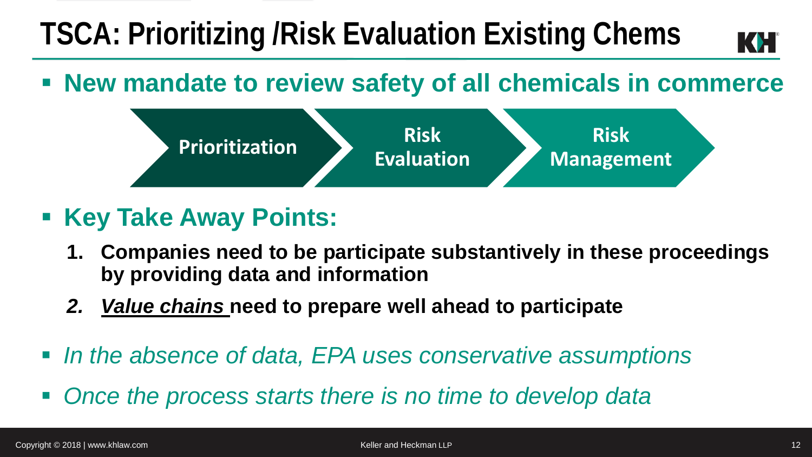### **TSCA: Prioritizing /Risk Evaluation Existing Chems**

#### **New mandate to review safety of all chemicals in commerce**



- **Key Take Away Points:** 
	- **1. Companies need to be participate substantively in these proceedings by providing data and information**
	- *2. Value chains* **need to prepare well ahead to participate**
- In the absence of data, EPA uses conservative assumptions
- *Once the process starts there is no time to develop data*

 $\mathbf{K}$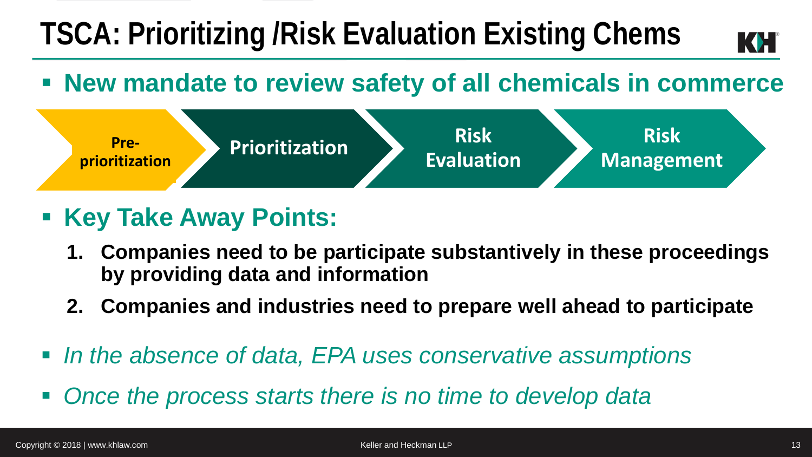### **TSCA: Prioritizing /Risk Evaluation Existing Chems**

#### **New mandate to review safety of all chemicals in commerce**



- **Example 2 Key Take Away Points:** 
	- **1. Companies need to be participate substantively in these proceedings by providing data and information**
	- **2. Companies and industries need to prepare well ahead to participate**
- In the absence of data, EPA uses conservative assumptions
- *Once the process starts there is no time to develop data*

 $|\langle \blacklozenge \rangle|$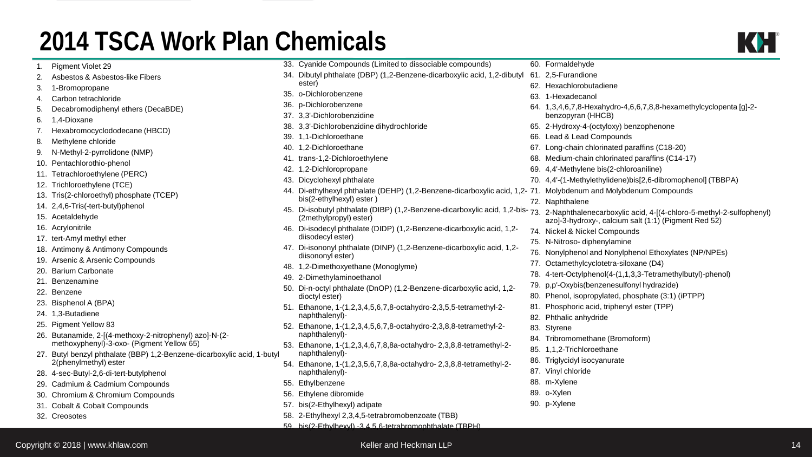#### **2014 TSCA Work Plan Chemicals**

|                                                                                                                     |  | 33. Cyanide Compounds (Limited to dissociable compounds)                                                                                                                  |  | 60. Formaldehyde                                                                       |
|---------------------------------------------------------------------------------------------------------------------|--|---------------------------------------------------------------------------------------------------------------------------------------------------------------------------|--|----------------------------------------------------------------------------------------|
| tos-like Fibers                                                                                                     |  | 34. Dibutyl phthalate (DBP) (1,2-Benzene-dicarboxylic acid, 1,2-dibutyl                                                                                                   |  | 61. 2,5-Furandione                                                                     |
|                                                                                                                     |  | ester)                                                                                                                                                                    |  | 62. Hexachlorobutadiene                                                                |
| dе                                                                                                                  |  | 35. o-Dichlorobenzene                                                                                                                                                     |  | 63. 1-Hexadecanol                                                                      |
| yl ethers (DecaBDE)                                                                                                 |  | 36. p-Dichlorobenzene<br>37. 3,3'-Dichlorobenzidine                                                                                                                       |  | 64. 1,3,4,6,7,8-Hexahydro-4,6,6,7,8,8-hexamethylcyclopenta [g]-2-<br>benzopyran (HHCB) |
|                                                                                                                     |  | 38. 3,3'-Dichlorobenzidine dihydrochloride                                                                                                                                |  | 65. 2-Hydroxy-4-(octyloxy) benzophenone                                                |
| odecane (HBCD)                                                                                                      |  | 39. 1.1-Dichloroethane                                                                                                                                                    |  | 66. Lead & Lead Compounds                                                              |
|                                                                                                                     |  | 40. 1,2-Dichloroethane                                                                                                                                                    |  | 67. Long-chain chlorinated paraffins (C18-20)                                          |
| done (NMP)                                                                                                          |  | 41. trans-1,2-Dichloroethylene                                                                                                                                            |  | 68. Medium-chain chlorinated paraffins (C14-17)                                        |
| าenol                                                                                                               |  | 42. 1,2-Dichloropropane                                                                                                                                                   |  | 69. 4,4'-Methylene bis(2-chloroaniline)                                                |
| e (PERC)                                                                                                            |  | 43. Dicyclohexyl phthalate                                                                                                                                                |  | 70. 4,4'-(1-Methylethylidene)bis[2,6-dibromophenol] (TBBPA)                            |
| TCE)<br>phosphate (TCEP)<br>yl)phenol                                                                               |  | 44. Di-ethylhexyl phthalate (DEHP) (1,2-Benzene-dicarboxylic acid, 1,2-71. Molybdenum and Molybdenum Compounds                                                            |  |                                                                                        |
|                                                                                                                     |  | bis(2-ethylhexyl) ester)                                                                                                                                                  |  | 72. Naphthalene                                                                        |
|                                                                                                                     |  | 45. Di-isobutyl phthalate (DIBP) (1,2-Benzene-dicarboxylic acid, 1,2-bis-73. 2-Naphthalenecarboxylic acid, 4-[(4-chloro-5-methyl-2-sulfophenyl)<br>(2methylpropyl) ester) |  | azo]-3-hydroxy-, calcium salt (1:1) (Pigment Red 52)                                   |
|                                                                                                                     |  | 46. Di-isodecyl phthalate (DIDP) (1,2-Benzene-dicarboxylic acid, 1,2-                                                                                                     |  | 74. Nickel & Nickel Compounds                                                          |
| ther                                                                                                                |  | diisodecyl ester)                                                                                                                                                         |  | 75. N-Nitroso- diphenylamine                                                           |
| ony Compounds<br>Compounds                                                                                          |  | 47. Di-isononyl phthalate (DINP) (1,2-Benzene-dicarboxylic acid, 1,2-<br>diisononyl ester)                                                                                |  | 76. Nonylphenol and Nonylphenol Ethoxylates (NP/NPEs)                                  |
|                                                                                                                     |  | 48. 1,2-Dimethoxyethane (Monoglyme)                                                                                                                                       |  | 77. Octamethylcyclotetra-siloxane (D4)                                                 |
|                                                                                                                     |  | 49. 2-Dimethylaminoethanol                                                                                                                                                |  | 78. 4-tert-Octylphenol(4-(1,1,3,3-Tetramethylbutyl)-phenol)                            |
|                                                                                                                     |  | 50. Di-n-octyl phthalate (DnOP) (1,2-Benzene-dicarboxylic acid, 1,2-                                                                                                      |  | 79. p,p'-Oxybis(benzenesulfonyl hydrazide)                                             |
|                                                                                                                     |  | dioctyl ester)                                                                                                                                                            |  | 80. Phenol, isopropylated, phosphate (3:1) (iPTPP)                                     |
|                                                                                                                     |  | 51. Ethanone, 1-(1,2,3,4,5,6,7,8-octahydro-2,3,5,5-tetramethyl-2-<br>naphthalenyl)-                                                                                       |  | 81. Phosphoric acid, triphenyl ester (TPP)                                             |
|                                                                                                                     |  |                                                                                                                                                                           |  | 82. Phthalic anhydride                                                                 |
|                                                                                                                     |  | 52. Ethanone, 1-(1,2,3,4,5,6,7,8-octahydro-2,3,8,8-tetramethyl-2-                                                                                                         |  | 83. Styrene                                                                            |
| -methoxy-2-nitrophenyl) azo]-N-(2-<br>oxo- (Pigment Yellow 65)<br>late (BBP) 1,2-Benzene-dicarboxylic acid, 1-butyl |  | naphthalenyl)-<br>53. Ethanone, 1-(1,2,3,4,6,7,8,8a-octahydro-2,3,8,8-tetramethyl-2-<br>naphthalenyl)-                                                                    |  | 84. Tribromomethane (Bromoform)                                                        |
|                                                                                                                     |  |                                                                                                                                                                           |  | 85. 1,1,2-Trichloroethane                                                              |
| ster                                                                                                                |  | 54. Ethanone, 1-(1,2,3,5,6,7,8,8a-octahydro-2,3,8,8-tetramethyl-2-                                                                                                        |  | 86. Triglycidyl isocyanurate                                                           |
| tert-butylphenol                                                                                                    |  | naphthalenyl)-                                                                                                                                                            |  | 87. Vinyl chloride                                                                     |
| ium Compounds                                                                                                       |  | 55. Ethylbenzene                                                                                                                                                          |  | 88. m-Xylene                                                                           |
| mium Compounds                                                                                                      |  | 56. Ethylene dibromide                                                                                                                                                    |  | 89. o-Xylen                                                                            |
| ompounds                                                                                                            |  | 57. bis(2-Ethylhexyl) adipate                                                                                                                                             |  | 90. p-Xylene                                                                           |
|                                                                                                                     |  | 58. 2-Ethylhexyl 2,3,4,5-tetrabromobenzoate (TBB)                                                                                                                         |  |                                                                                        |
|                                                                                                                     |  | 59 his(2-Ethylhexyl) -3.4.5 6-tetrahromophthalate (TBPH)                                                                                                                  |  |                                                                                        |

- 2. Asbestos & Asbest
- 3. 1-Bromopropane
- 4. Carbon tetrachlorid
- 5. Decabromodiphen
- 6. 1,4-Dioxane
- 7. Hexabromocyclodd
- 8. Methylene chloride
- 9. N-Methyl-2-pyrrolic
- 10. Pentachlorothio-ph
- 11. Tetrachloroethylen
- 12. Trichloroethylene (
- 13. Tris(2-chloroethyl)
- 14.  $2,4,6$ -Tris(-tert-buty
- 15. Acetaldehyde
- 16. Acrylonitrile
- 17. tert-Amyl methyl et
- 18. Antimony & Antimo
- 19. Arsenic & Arsenic
- 20. Barium Carbonate
- 21. Benzenamine
- 22. Benzene
- 23. Bisphenol A (BPA)
- 24. 1,3-Butadiene
- 25. Pigment Yellow 83
- 26. Butanamide,  $2-[4$ methoxyphenyl)-3-
- 27. Butyl benzyl phthal 2(phenylmethyl) es
- 28. 4-sec-Butyl-2,6-di-t
- 29. Cadmium & Cadmi
- 30. Chromium & Chron
- 31. Cobalt & Cobalt Co
- 32. Creosotes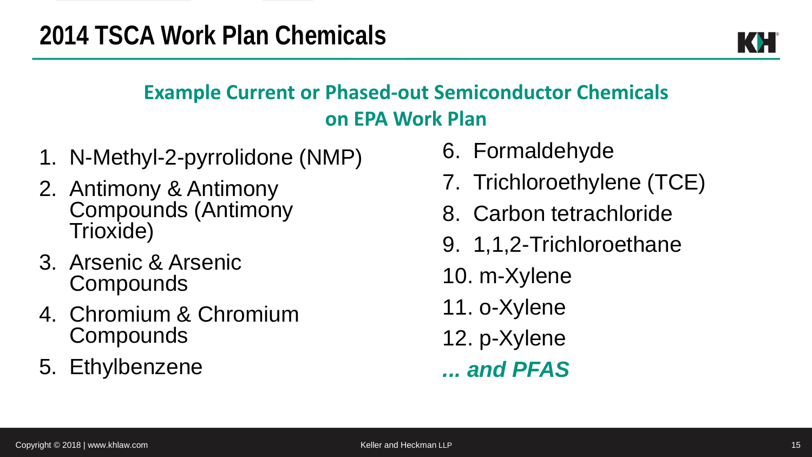

#### **Example Current or Phased-out Semiconductor Chemicals on EPA Work Plan**

- 1. N-Methyl-2-pyrrolidone (NMP)
- 2. Antimony & Antimony Compounds (Antimony Trioxide)
- 3. Arsenic & Arsenic **Compounds**
- 4. Chromium & Chromium **Compounds**
- 5. Ethylbenzene
- 6. Formaldehyde
- 7. Trichloroethylene (TCE)
- 8. Carbon tetrachloride
- 9. 1,1,2-Trichloroethane
- 10. m-Xylene
- 11. o-Xylene
- 12. p-Xylene
- *... and PFAS*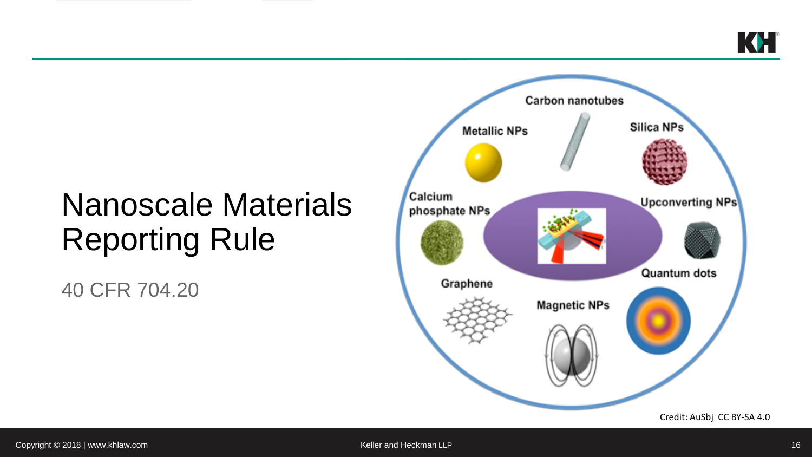### Nanoscale Materials Reporting Rule

40 CFR 704.20

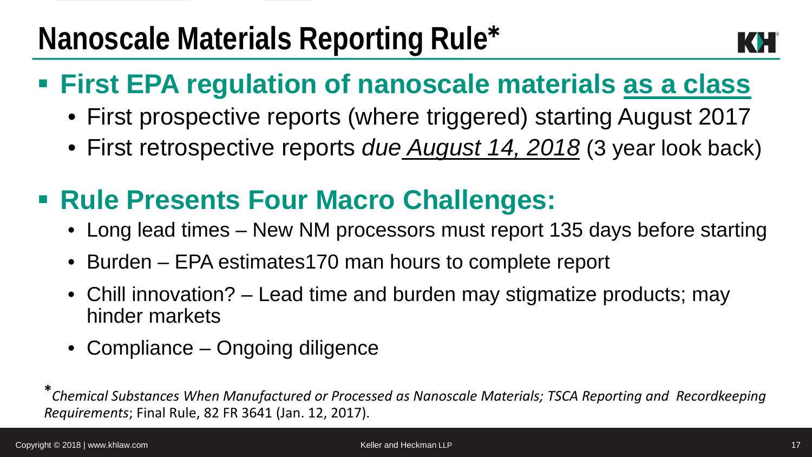### **First EPA regulation of nanoscale materials as a class**

- First prospective reports (where triggered) starting August 2017
- First retrospective reports *due August 14, 2018* (3 year look back)

### **Rule Presents Four Macro Challenges:**

- Long lead times New NM processors must report 135 days before starting
- Burden EPA estimates170 man hours to complete report
- Chill innovation? Lead time and burden may stigmatize products; may hinder markets
- Compliance Ongoing diligence

**\****Chemical Substances When Manufactured or Processed as Nanoscale Materials; TSCA Reporting and Recordkeeping Requirements*; Final Rule, 82 FR 3641 (Jan. 12, 2017).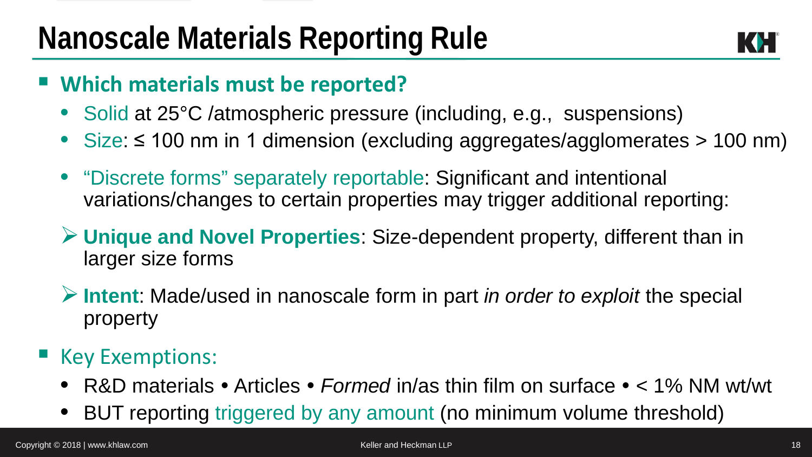

#### **Which materials must be reported?**

- Solid at 25°C /atmospheric pressure (including, e.g., suspensions)
- Size: ≤ 100 nm in 1 dimension (excluding aggregates/agglomerates > 100 nm)
- "Discrete forms" separately reportable: Significant and intentional variations/changes to certain properties may trigger additional reporting:
- **Unique and Novel Properties**: Size-dependent property, different than in larger size forms
- **Intent**: Made/used in nanoscale form in part *in order to exploit* the special property

#### ■ Key Exemptions:

- R&D materials Articles *Formed* in/as thin film on surface < 1% NM wt/wt
- BUT reporting triggered by any amount (no minimum volume threshold)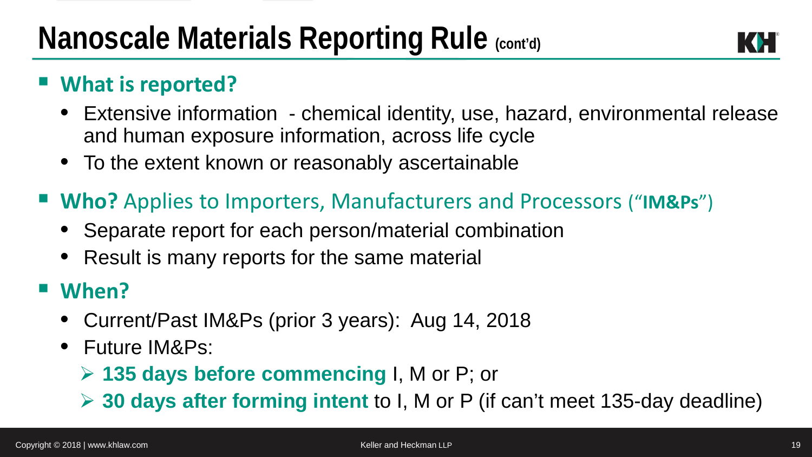

#### **What is reported?**

- Extensive information chemical identity, use, hazard, environmental release and human exposure information, across life cycle
- To the extent known or reasonably ascertainable
- **Who?** Applies to Importers, Manufacturers and Processors ("**IM&Ps**")
	- Separate report for each person/material combination
	- Result is many reports for the same material

#### **When?**

- Current/Past IM&Ps (prior 3 years): Aug 14, 2018
- Future IM&Ps:
	- **135 days before commencing** I, M or P; or
	- **30 days after forming intent** to I, M or P (if can't meet 135-day deadline)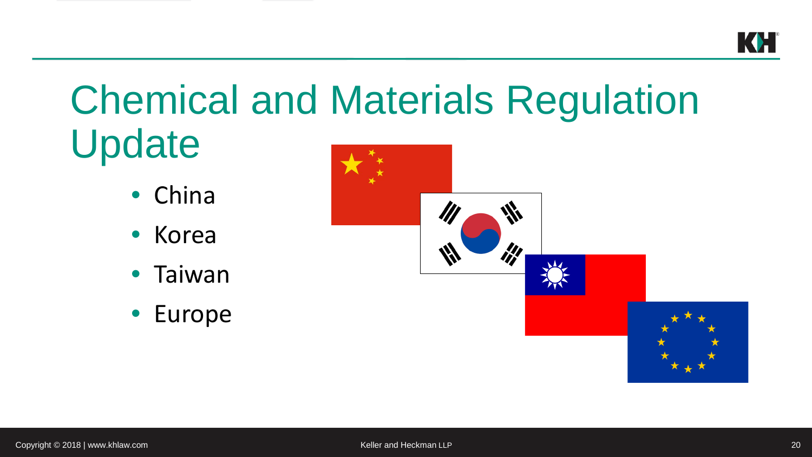

## Chemical and Materials Regulation Update

- China
- Korea
- Taiwan
- Europe



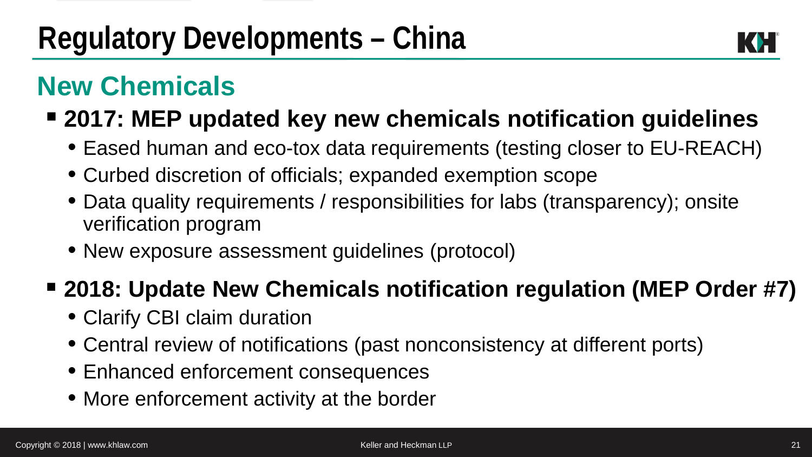

### **New Chemicals**

#### **2017: MEP updated key new chemicals notification guidelines**

- Eased human and eco-tox data requirements (testing closer to EU-REACH)
- Curbed discretion of officials; expanded exemption scope
- Data quality requirements / responsibilities for labs (transparency); onsite verification program
- New exposure assessment guidelines (protocol)

#### **2018: Update New Chemicals notification regulation (MEP Order #7)**

- Clarify CBI claim duration
- Central review of notifications (past nonconsistency at different ports)
- Enhanced enforcement consequences
- More enforcement activity at the border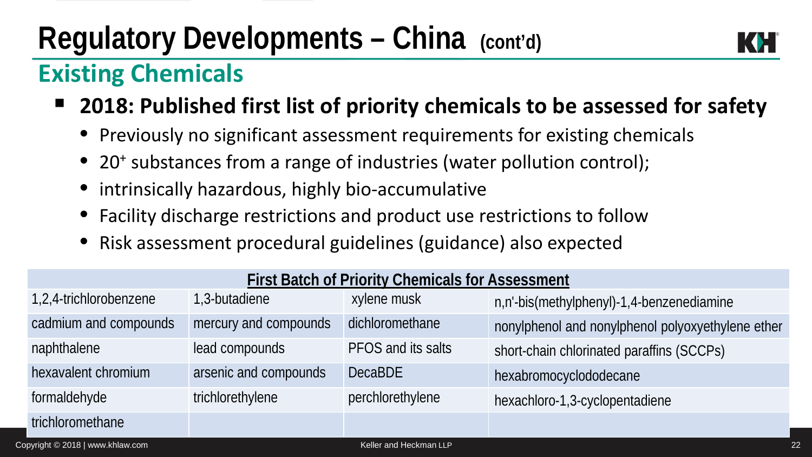### **Regulatory Developments – China (cont'd)**



#### **Existing Chemicals**

- **2018: Published first list of priority chemicals to be assessed for safety**
	- Previously no significant assessment requirements for existing chemicals
	- 20<sup>+</sup> substances from a range of industries (water pollution control);
	- intrinsically hazardous, highly bio-accumulative
	- Facility discharge restrictions and product use restrictions to follow
	- Risk assessment procedural guidelines (guidance) also expected

| <b>First Batch of Priority Chemicals for Assessment</b> |                       |                    |                                                   |  |  |  |
|---------------------------------------------------------|-----------------------|--------------------|---------------------------------------------------|--|--|--|
| 1,2,4-trichlorobenzene                                  | 1,3-butadiene         | xylene musk        | n,n'-bis(methylphenyl)-1,4-benzenediamine         |  |  |  |
| cadmium and compounds                                   | mercury and compounds | dichloromethane    | nonylphenol and nonylphenol polyoxyethylene ether |  |  |  |
| naphthalene                                             | lead compounds        | PFOS and its salts | short-chain chlorinated paraffins (SCCPs)         |  |  |  |
| hexavalent chromium                                     | arsenic and compounds | <b>DecaBDE</b>     | hexabromocyclododecane                            |  |  |  |
| formaldehyde                                            | trichlorethylene      | perchlorethylene   | hexachloro-1,3-cyclopentadiene                    |  |  |  |
| trichloromethane                                        |                       |                    |                                                   |  |  |  |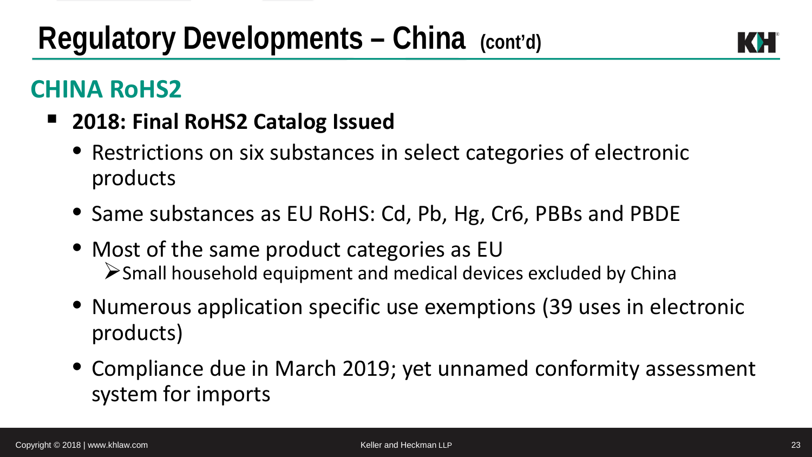#### **CHINA RoHS2**

- **2018: Final RoHS2 Catalog Issued**
	- Restrictions on six substances in select categories of electronic products
	- Same substances as EU RoHS: Cd, Pb, Hg, Cr6, PBBs and PBDE
	- Most of the same product categories as EU  $\triangleright$  Small household equipment and medical devices excluded by China
	- Numerous application specific use exemptions (39 uses in electronic products)
	- Compliance due in March 2019; yet unnamed conformity assessment system for imports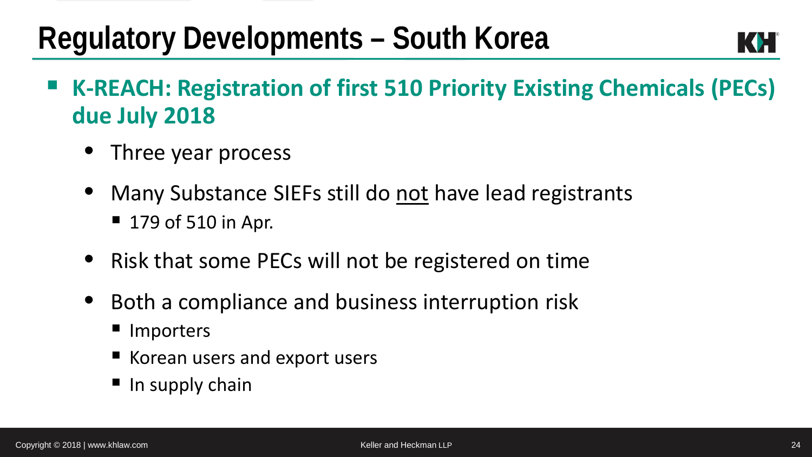### **Regulatory Developments – South Korea**

- **K-REACH: Registration of first 510 Priority Existing Chemicals (PECs) due July 2018**
	- Three year process
	- Many Substance SIEFs still do not have lead registrants ■ 179 of 510 in Apr.
	- Risk that some PECs will not be registered on time
	- Both a compliance and business interruption risk
		- Importers
		- Korean users and export users
		- $\blacksquare$  In supply chain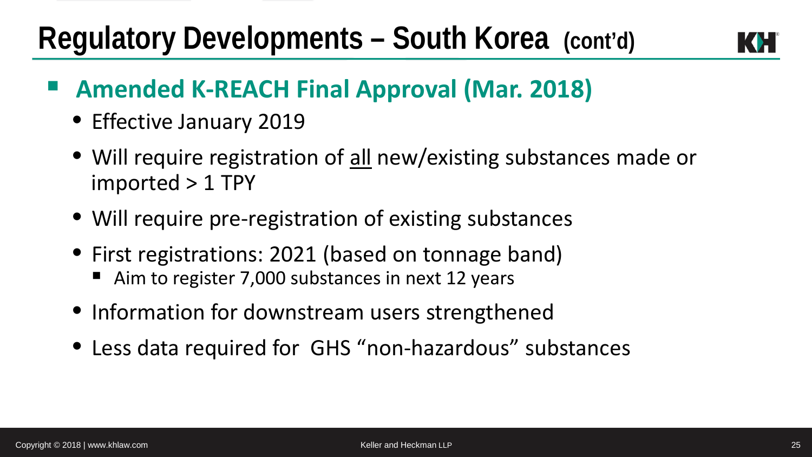### **Regulatory Developments – South Korea (cont'd)**



#### **Amended K-REACH Final Approval (Mar. 2018)**

- Effective January 2019
- Will require registration of all new/existing substances made or imported > 1 TPY
- Will require pre-registration of existing substances
- First registrations: 2021 (based on tonnage band)
	- Aim to register 7,000 substances in next 12 years
- Information for downstream users strengthened
- Less data required for GHS "non-hazardous" substances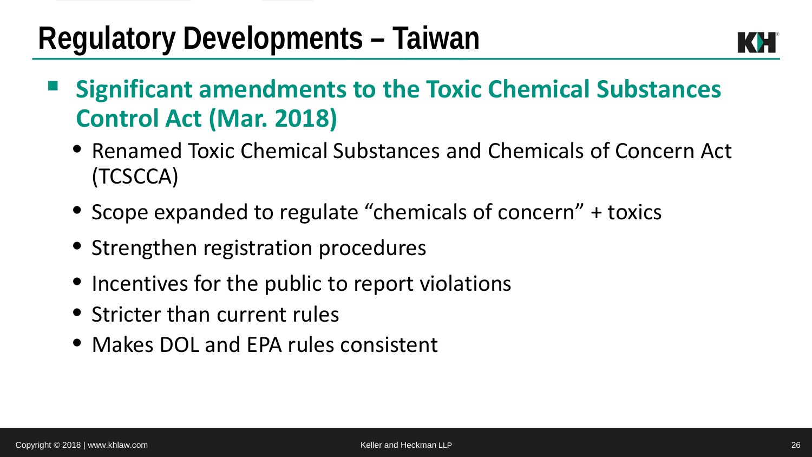### **Regulatory Developments – Taiwan**

- **Significant amendments to the Toxic Chemical Substances Control Act (Mar. 2018)**
	- Renamed Toxic Chemical Substances and Chemicals of Concern Act (TCSCCA)
	- Scope expanded to regulate "chemicals of concern" + toxics
	- Strengthen registration procedures
	- Incentives for the public to report violations
	- Stricter than current rules
	- Makes DOL and EPA rules consistent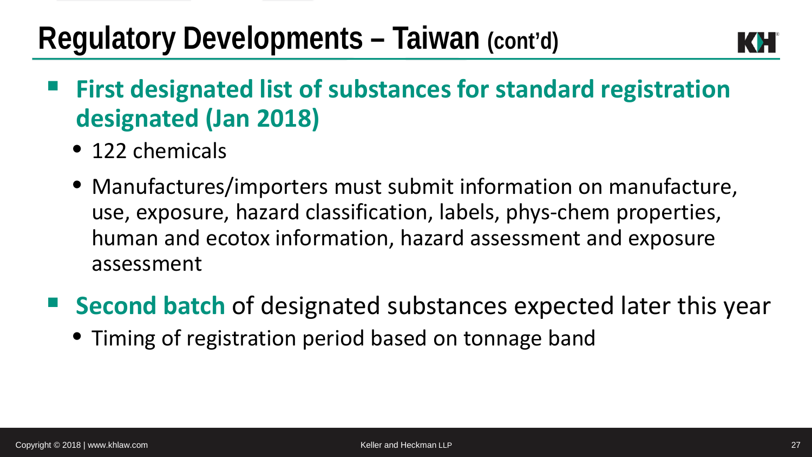### **Regulatory Developments – Taiwan (cont'd)**



- **First designated list of substances for standard registration designated (Jan 2018)**
	- 122 chemicals
	- Manufactures/importers must submit information on manufacture, use, exposure, hazard classification, labels, phys-chem properties, human and ecotox information, hazard assessment and exposure assessment
- Second batch of designated substances expected later this year
	- Timing of registration period based on tonnage band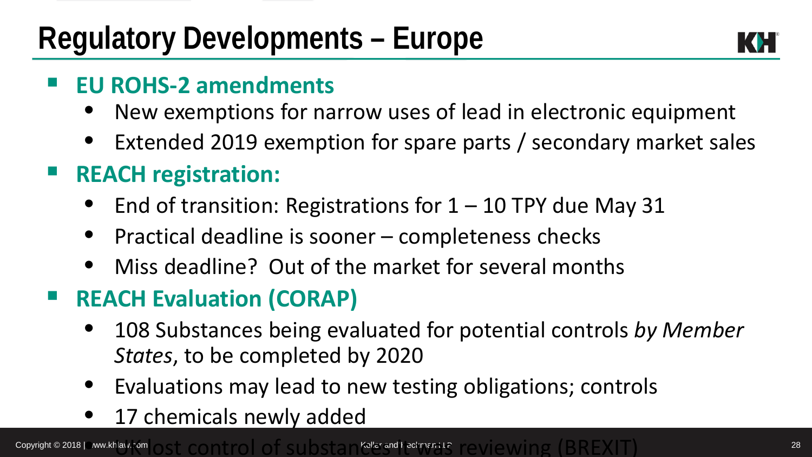

#### **EU ROHS-2 amendments**

- New exemptions for narrow uses of lead in electronic equipment
- Extended 2019 exemption for spare parts / secondary market sales
- **REACH registration:** 
	- End of transition: Registrations for  $1 10$  TPY due May 31
	- Practical deadline is sooner completeness checks
	- Miss deadline? Out of the market for several months

#### **REACH Evaluation (CORAP)**

- 108 Substances being evaluated for potential controls *by Member States*, to be completed by 2020
- Evaluations may lead to new testing obligations; controls
- 17 chemicals newly added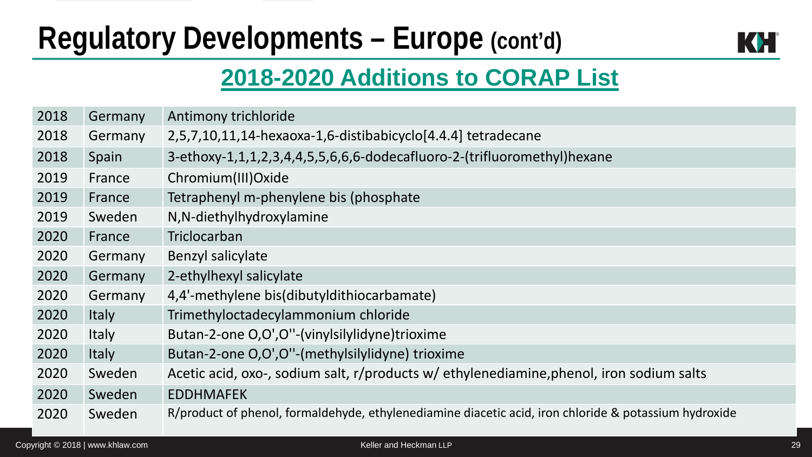### **Regulatory Developments – Europe (cont'd)**



#### **2018-2020 Additions to CORAP List**

| 2018 | Germany      | Antimony trichloride                                                                                  |
|------|--------------|-------------------------------------------------------------------------------------------------------|
| 2018 | Germany      | 2,5,7,10,11,14-hexaoxa-1,6-distibabicyclo[4.4.4] tetradecane                                          |
| 2018 | Spain        | 3-ethoxy-1,1,1,2,3,4,4,5,5,6,6,6-dodecafluoro-2-(trifluoromethyl)hexane                               |
| 2019 | France       | Chromium(III)Oxide                                                                                    |
| 2019 | France       | Tetraphenyl m-phenylene bis (phosphate                                                                |
| 2019 | Sweden       | N, N-diethylhydroxylamine                                                                             |
| 2020 | France       | Triclocarban                                                                                          |
| 2020 | Germany      | Benzyl salicylate                                                                                     |
| 2020 | Germany      | 2-ethylhexyl salicylate                                                                               |
| 2020 | Germany      | 4,4'-methylene bis(dibutyldithiocarbamate)                                                            |
| 2020 | Italy        | Trimethyloctadecylammonium chloride                                                                   |
| 2020 | Italy        | Butan-2-one O,O',O''-(vinylsilylidyne)trioxime                                                        |
| 2020 | <b>Italy</b> | Butan-2-one O,O',O''-(methylsilylidyne) trioxime                                                      |
| 2020 | Sweden       | Acetic acid, oxo-, sodium salt, r/products w/ ethylenediamine, phenol, iron sodium salts              |
| 2020 | Sweden       | <b>EDDHMAFEK</b>                                                                                      |
| 2020 | Sweden       | R/product of phenol, formaldehyde, ethylenediamine diacetic acid, iron chloride & potassium hydroxide |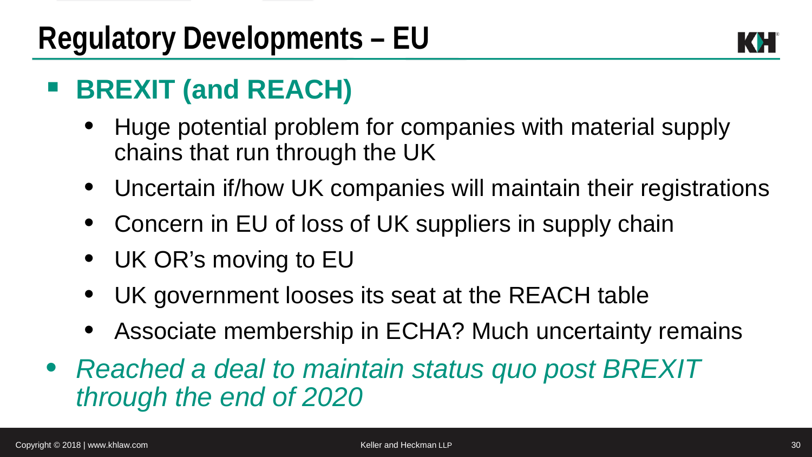

### **BREXIT (and REACH)**

- Huge potential problem for companies with material supply chains that run through the UK
- Uncertain if/how UK companies will maintain their registrations
- Concern in EU of loss of UK suppliers in supply chain
- UK OR's moving to EU
- UK government looses its seat at the REACH table
- Associate membership in ECHA? Much uncertainty remains
- *Reached a deal to maintain status quo post BREXIT through the end of 2020*